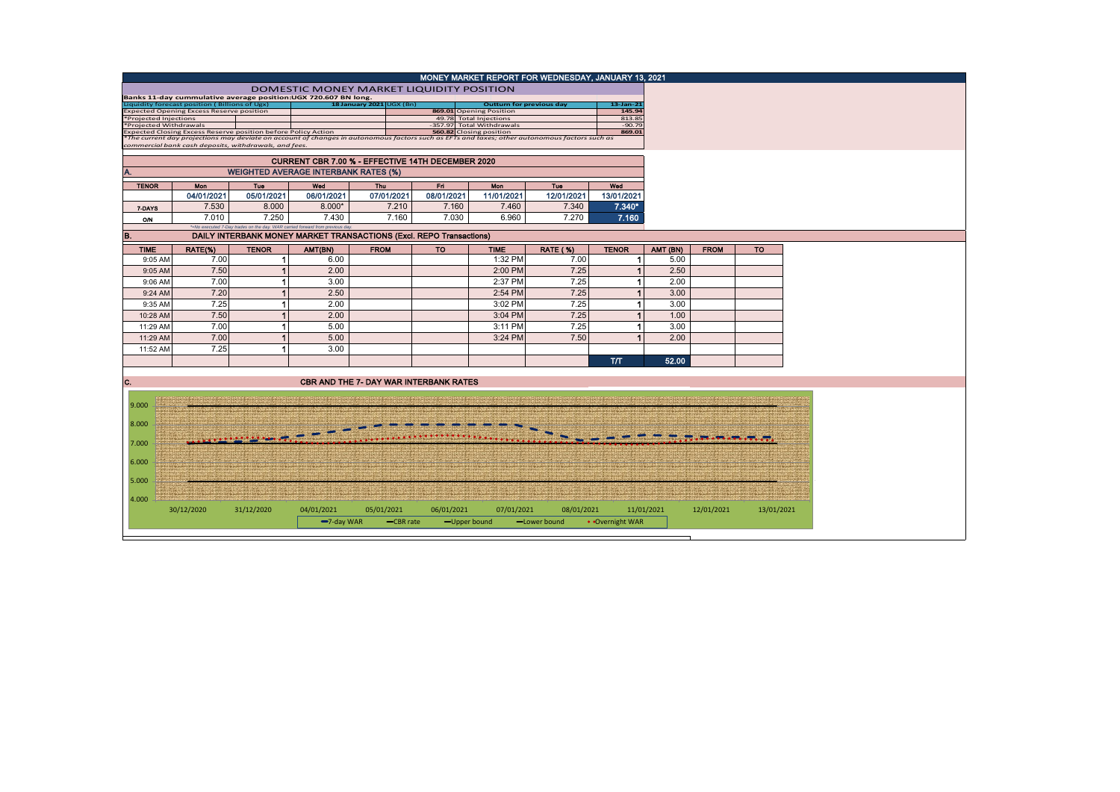